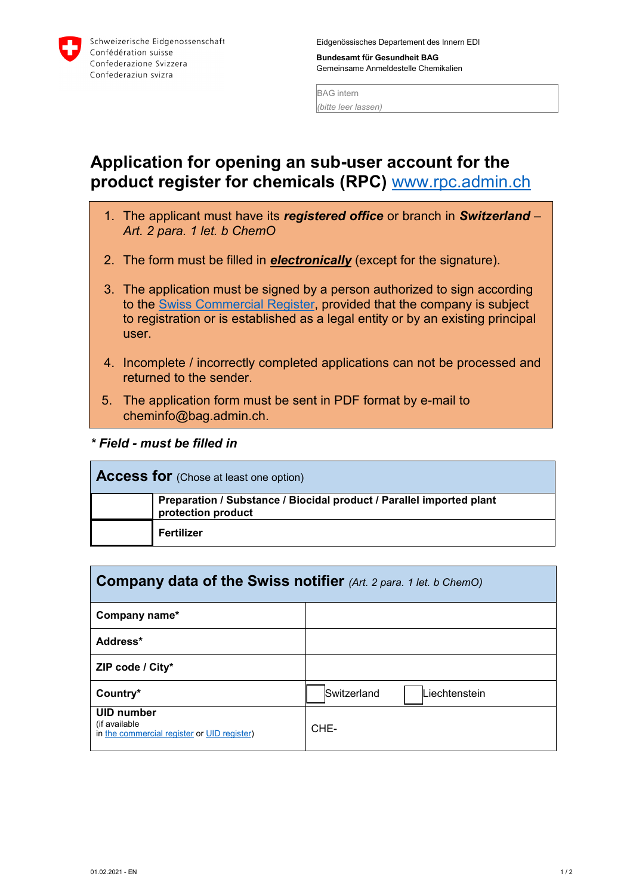

Eidgenössisches Departement des Innern EDI

**Bundesamt für Gesundheit BAG** Gemeinsame Anmeldestelle Chemikalien

BAG intern *(bitte leer lassen)*

## **Application for opening an sub-user account for the product register for chemicals (RPC)** [www.rpc.admin.ch](http://www.rpc.admin.ch/)

- 1. The applicant must have its *registered office* or branch in *Switzerland Art. 2 para. 1 let. b ChemO*
- 2. The form must be filled in *electronically* (except for the signature).
- 3. The application must be signed by a person authorized to sign according to the [Swiss Commercial Register,](https://www.zefix.admin.ch/en/search/entity/welcome) provided that the company is subject to registration or is established as a legal entity or by an existing principal user.
- 4. Incomplete / incorrectly completed applications can not be processed and returned to the sender.
- 5. The application form must be sent in PDF format by e-mail to cheminfo@bag.admin.ch.
- *\* Field must be filled in*

| <b>Access for</b> (Chose at least one option) |                                                                                            |  |  |
|-----------------------------------------------|--------------------------------------------------------------------------------------------|--|--|
|                                               | Preparation / Substance / Biocidal product / Parallel imported plant<br>protection product |  |  |
|                                               | Fertilizer                                                                                 |  |  |

| <b>Company data of the Swiss notifier</b> (Art. 2 para. 1 let. b ChemO)           |                              |  |  |
|-----------------------------------------------------------------------------------|------------------------------|--|--|
| Company name*                                                                     |                              |  |  |
| Address*                                                                          |                              |  |  |
| ZIP code / City*                                                                  |                              |  |  |
| Country*                                                                          | Switzerland<br>Liechtenstein |  |  |
| <b>UID number</b><br>(if available<br>in the commercial register or UID register) | CHE-                         |  |  |